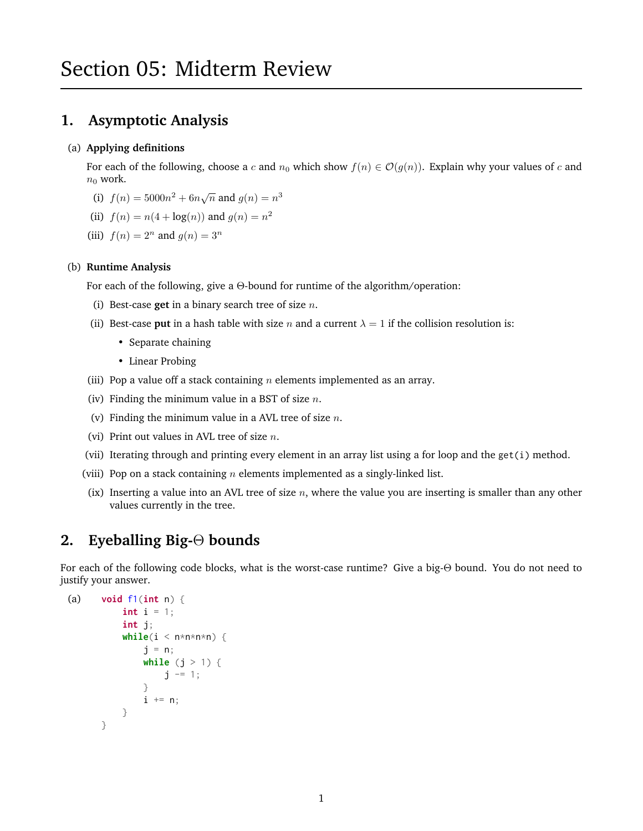# **1. Asymptotic Analysis**

#### (a) **Applying definitions**

For each of the following, choose a c and  $n_0$  which show  $f(n) \in \mathcal{O}(g(n))$ . Explain why your values of c and  $n_0$  work.

- (i)  $f(n) = 5000n^2 + 6n\sqrt{n}$  and  $g(n) = n^3$
- (ii)  $f(n) = n(4 + \log(n))$  and  $g(n) = n^2$
- (iii)  $f(n) = 2^n$  and  $g(n) = 3^n$

#### (b) **Runtime Analysis**

For each of the following, give a Θ-bound for runtime of the algorithm/operation:

- (i) Best-case **get** in a binary search tree of size n.
- (ii) Best-case **put** in a hash table with size *n* and a current  $\lambda = 1$  if the collision resolution is:
	- Separate chaining
	- Linear Probing
- (iii) Pop a value off a stack containing  $n$  elements implemented as an array.
- (iv) Finding the minimum value in a BST of size  $n$ .
- (v) Finding the minimum value in a AVL tree of size  $n$ .
- (vi) Print out values in AVL tree of size  $n$ .
- (vii) Iterating through and printing every element in an array list using a for loop and the get(i) method.
- (viii) Pop on a stack containing  $n$  elements implemented as a singly-linked list.
- (ix) Inserting a value into an AVL tree of size  $n$ , where the value you are inserting is smaller than any other values currently in the tree.

# **2. Eyeballing Big-**Θ **bounds**

For each of the following code blocks, what is the worst-case runtime? Give a big-Θ bound. You do not need to justify your answer.

```
(a) void f1(int n) {
           int i = 1;
           int j;
           while(i < n * n * n * n) {
               j = n;while (j > 1) {
                    j -= 1;
               }
               i \neq n;
           }
       }
```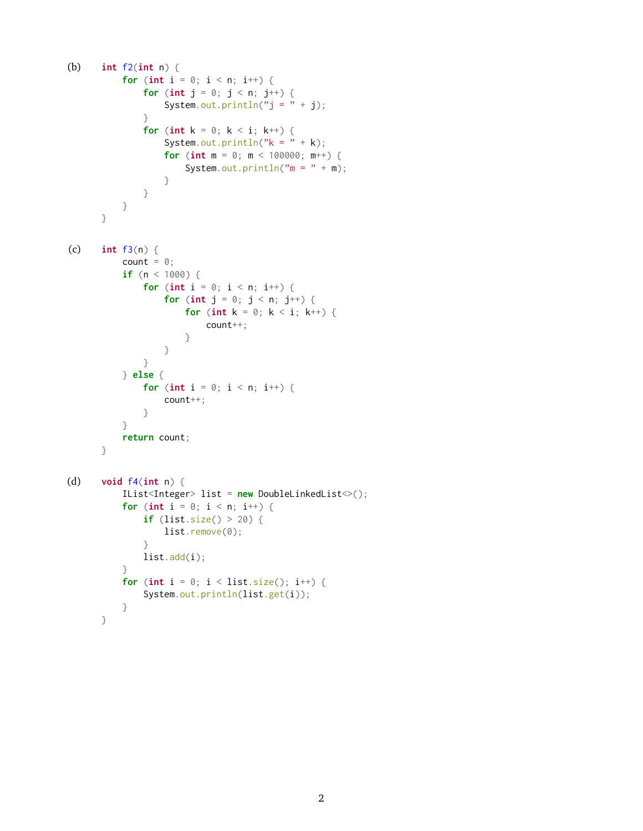```
(b) int f2(int n) {
           for (int i = 0; i < n; i++) {
               for (int j = 0; j < n; j^{++}) {
                   System.out.println("j = " + j);}
               for (int k = 0; k < i; k^{++}) {
                   System.out.println("k = " + k);
                   for (int m = 0; m < 100000; m++) {
                       System.out.println(m = " + m);}
              }
           }
      }
(c) int f3(n) {
           count = \theta;
           if (n < 1000) {
               for (int i = 0; i < n; i++) {
                   for (int j = 0; j < n; j^{++}) {
                       for (int k = 0; k < i; k++) {
                           count++;
                       }
                   }
              }
           } else {
              for (int i = 0; i < n; i++) {
                   count++;
               }
           }
           return count;
      }
(d) void f4(int n) {
           IList<Integer> list = new DoubleLinkedList<>();
           for (int i = 0; i < n; i++) {
               if (list.size() > 20) {
                   list.remove(0);
               }
               list.add(i);
           }
           for (int i = 0; i < list.size(); i^{++}) {
               System.out.println(list.get(i));
           }
      }
```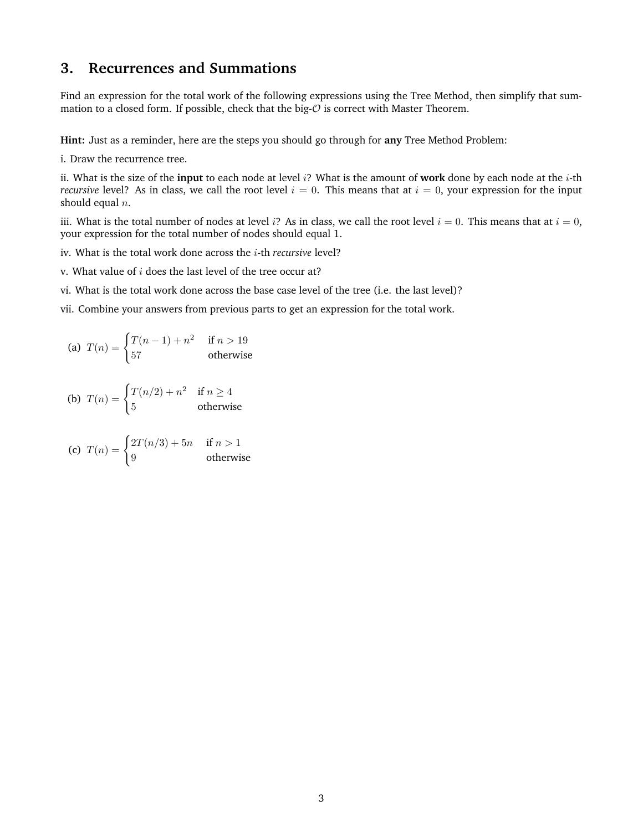#### **3. Recurrences and Summations**

Find an expression for the total work of the following expressions using the Tree Method, then simplify that summation to a closed form. If possible, check that the big- $O$  is correct with Master Theorem.

**Hint:** Just as a reminder, here are the steps you should go through for **any** Tree Method Problem:

i. Draw the recurrence tree.

ii. What is the size of the **input** to each node at level i? What is the amount of **work** done by each node at the i-th *recursive* level? As in class, we call the root level  $i = 0$ . This means that at  $i = 0$ , your expression for the input should equal  $n$ .

iii. What is the total number of nodes at level i? As in class, we call the root level  $i = 0$ . This means that at  $i = 0$ , your expression for the total number of nodes should equal 1.

- iv. What is the total work done across the i-th *recursive* level?
- v. What value of  $i$  does the last level of the tree occur at?
- vi. What is the total work done across the base case level of the tree (i.e. the last level)?
- vii. Combine your answers from previous parts to get an expression for the total work.

(a) 
$$
T(n) = \begin{cases} T(n-1) + n^2 & \text{if } n > 19\\ 57 & \text{otherwise} \end{cases}
$$

(b) 
$$
T(n) = \begin{cases} T(n/2) + n^2 & \text{if } n \ge 4\\ 5 & \text{otherwise} \end{cases}
$$

(c) 
$$
T(n) = \begin{cases} 2T(n/3) + 5n & \text{if } n > 1 \\ 9 & \text{otherwise} \end{cases}
$$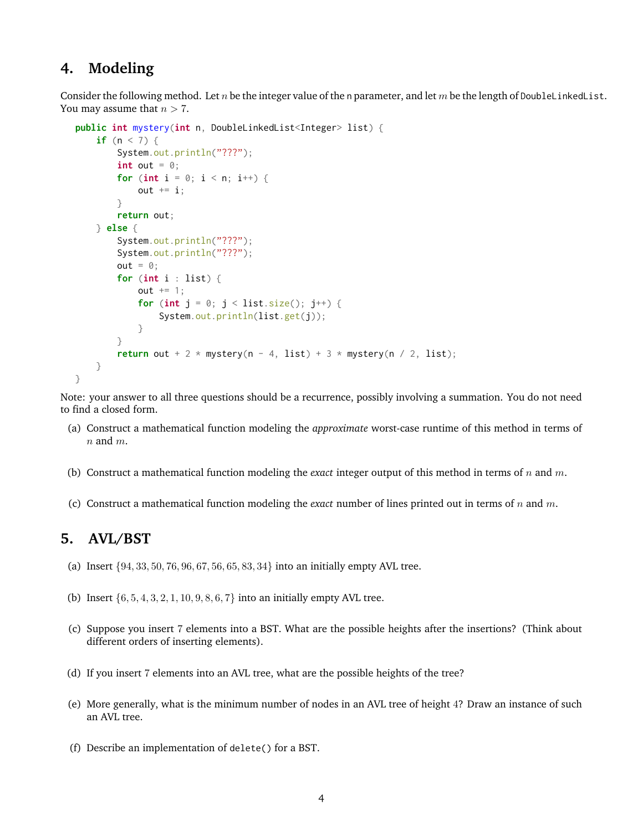### **4. Modeling**

Consider the following method. Let n be the integer value of the n parameter, and let m be the length of DoubleLinkedList. You may assume that  $n > 7$ .

```
public int mystery(int n, DoubleLinkedList<Integer> list) {
    if (n < 7) {
        System.out.println("???");
        int out = 0;
        for (int i = 0; i < n; i++) {
            out += i;
        }
        return out;
    } else {
        System.out.println("???");
        System.out.println("???");
        out = 0;for (int i : list) {
            out += 1;for (int j = 0; j < list.size(); j^{++}) {
                System.out.println(list.get(j));
            }
        }
        return out + 2 \times mystery(n - 4, list) + 3 \times mystery(n / 2, list);
    }
}
```
Note: your answer to all three questions should be a recurrence, possibly involving a summation. You do not need to find a closed form.

- (a) Construct a mathematical function modeling the *approximate* worst-case runtime of this method in terms of  $n$  and  $m$ .
- (b) Construct a mathematical function modeling the *exact* integer output of this method in terms of n and m.
- (c) Construct a mathematical function modeling the *exact* number of lines printed out in terms of n and m.

### **5. AVL/BST**

- (a) Insert {94, 33, 50, 76, 96, 67, 56, 65, 83, 34} into an initially empty AVL tree.
- (b) Insert  $\{6, 5, 4, 3, 2, 1, 10, 9, 8, 6, 7\}$  into an initially empty AVL tree.
- (c) Suppose you insert 7 elements into a BST. What are the possible heights after the insertions? (Think about different orders of inserting elements).
- (d) If you insert 7 elements into an AVL tree, what are the possible heights of the tree?
- (e) More generally, what is the minimum number of nodes in an AVL tree of height 4? Draw an instance of such an AVL tree.
- (f) Describe an implementation of delete() for a BST.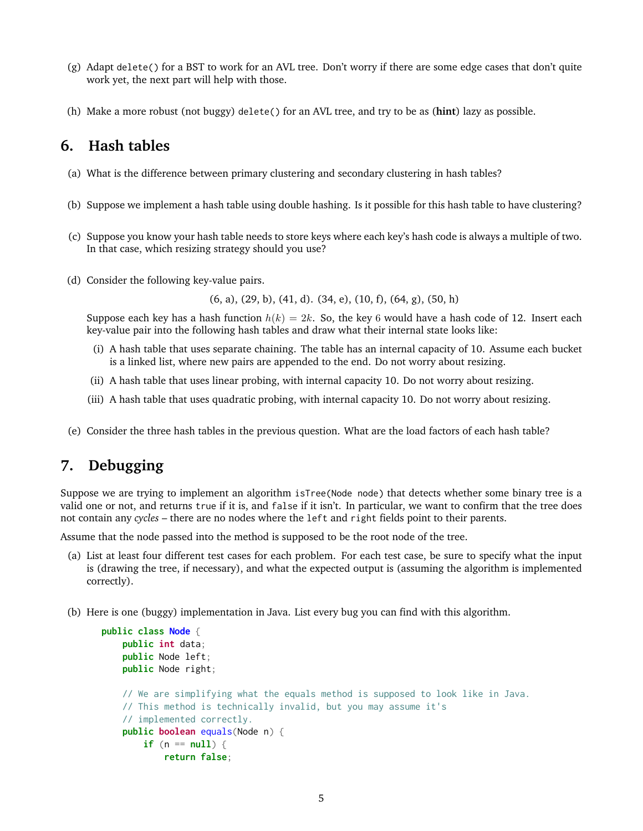- (g) Adapt delete() for a BST to work for an AVL tree. Don't worry if there are some edge cases that don't quite work yet, the next part will help with those.
- (h) Make a more robust (not buggy) delete() for an AVL tree, and try to be as (**hint**) lazy as possible.

### **6. Hash tables**

- (a) What is the difference between primary clustering and secondary clustering in hash tables?
- (b) Suppose we implement a hash table using double hashing. Is it possible for this hash table to have clustering?
- (c) Suppose you know your hash table needs to store keys where each key's hash code is always a multiple of two. In that case, which resizing strategy should you use?
- (d) Consider the following key-value pairs.

(6, a), (29, b), (41, d). (34, e), (10, f), (64, g), (50, h)

Suppose each key has a hash function  $h(k) = 2k$ . So, the key 6 would have a hash code of 12. Insert each key-value pair into the following hash tables and draw what their internal state looks like:

- (i) A hash table that uses separate chaining. The table has an internal capacity of 10. Assume each bucket is a linked list, where new pairs are appended to the end. Do not worry about resizing.
- (ii) A hash table that uses linear probing, with internal capacity 10. Do not worry about resizing.
- (iii) A hash table that uses quadratic probing, with internal capacity 10. Do not worry about resizing.
- (e) Consider the three hash tables in the previous question. What are the load factors of each hash table?

# **7. Debugging**

Suppose we are trying to implement an algorithm isTree(Node node) that detects whether some binary tree is a valid one or not, and returns true if it is, and false if it isn't. In particular, we want to confirm that the tree does not contain any *cycles* – there are no nodes where the left and right fields point to their parents.

Assume that the node passed into the method is supposed to be the root node of the tree.

- (a) List at least four different test cases for each problem. For each test case, be sure to specify what the input is (drawing the tree, if necessary), and what the expected output is (assuming the algorithm is implemented correctly).
- (b) Here is one (buggy) implementation in Java. List every bug you can find with this algorithm.

```
public class Node {
    public int data;
    public Node left;
    public Node right;
    // We are simplifying what the equals method is supposed to look like in Java.
    // This method is technically invalid, but you may assume it's
    // implemented correctly.
    public boolean equals(Node n) {
        if (n == null) {
            return false;
```